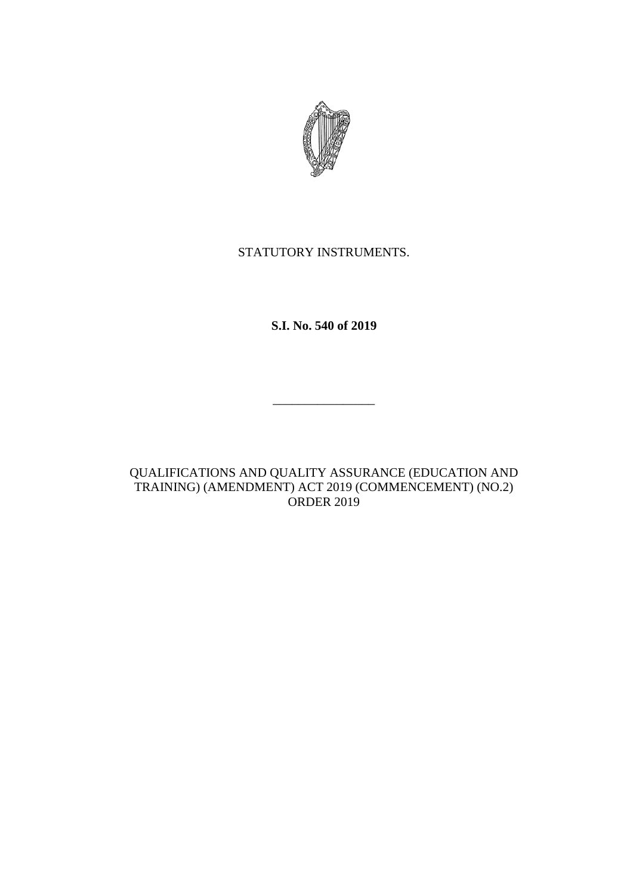

## STATUTORY INSTRUMENTS.

**S.I. No. 540 of 2019**

\_\_\_\_\_\_\_\_\_\_\_\_\_\_\_\_

QUALIFICATIONS AND QUALITY ASSURANCE (EDUCATION AND TRAINING) (AMENDMENT) ACT 2019 (COMMENCEMENT) (NO.2) ORDER 2019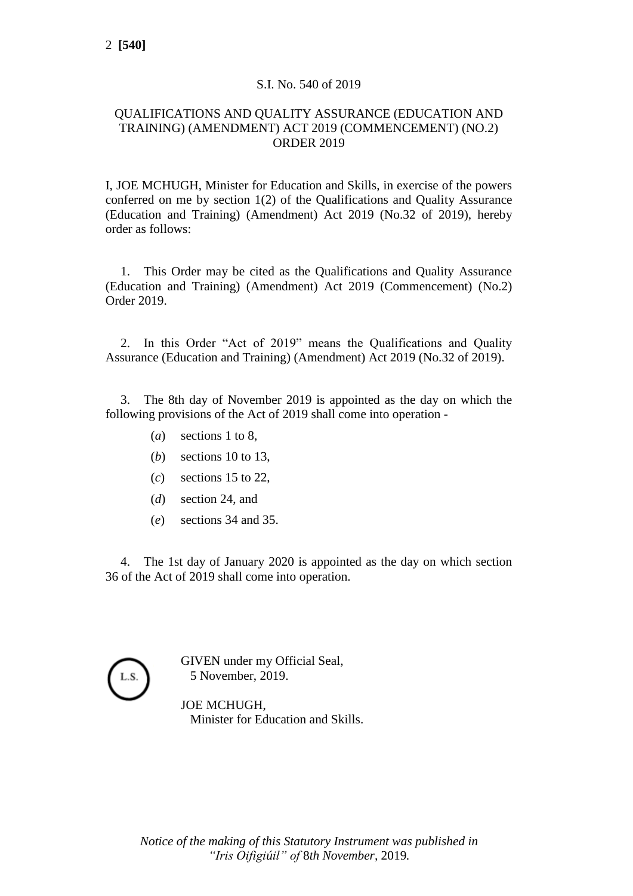## S.I. No. 540 of 2019

## QUALIFICATIONS AND QUALITY ASSURANCE (EDUCATION AND TRAINING) (AMENDMENT) ACT 2019 (COMMENCEMENT) (NO.2) ORDER 2019

I, JOE MCHUGH, Minister for Education and Skills, in exercise of the powers conferred on me by section 1(2) of the Qualifications and Quality Assurance (Education and Training) (Amendment) Act 2019 (No.32 of 2019), hereby order as follows:

1. This Order may be cited as the Qualifications and Quality Assurance (Education and Training) (Amendment) Act 2019 (Commencement) (No.2) Order 2019.

2. In this Order "Act of 2019" means the Qualifications and Quality Assurance (Education and Training) (Amendment) Act 2019 (No.32 of 2019).

3. The 8th day of November 2019 is appointed as the day on which the following provisions of the Act of 2019 shall come into operation -

- (*a*) sections 1 to 8,
- (*b*) sections 10 to 13,
- (*c*) sections 15 to 22,
- (*d*) section 24, and
- (*e*) sections 34 and 35.

4. The 1st day of January 2020 is appointed as the day on which section 36 of the Act of 2019 shall come into operation.

GIVEN under my Official Seal, 5 November, 2019.

JOE MCHUGH, Minister for Education and Skills.